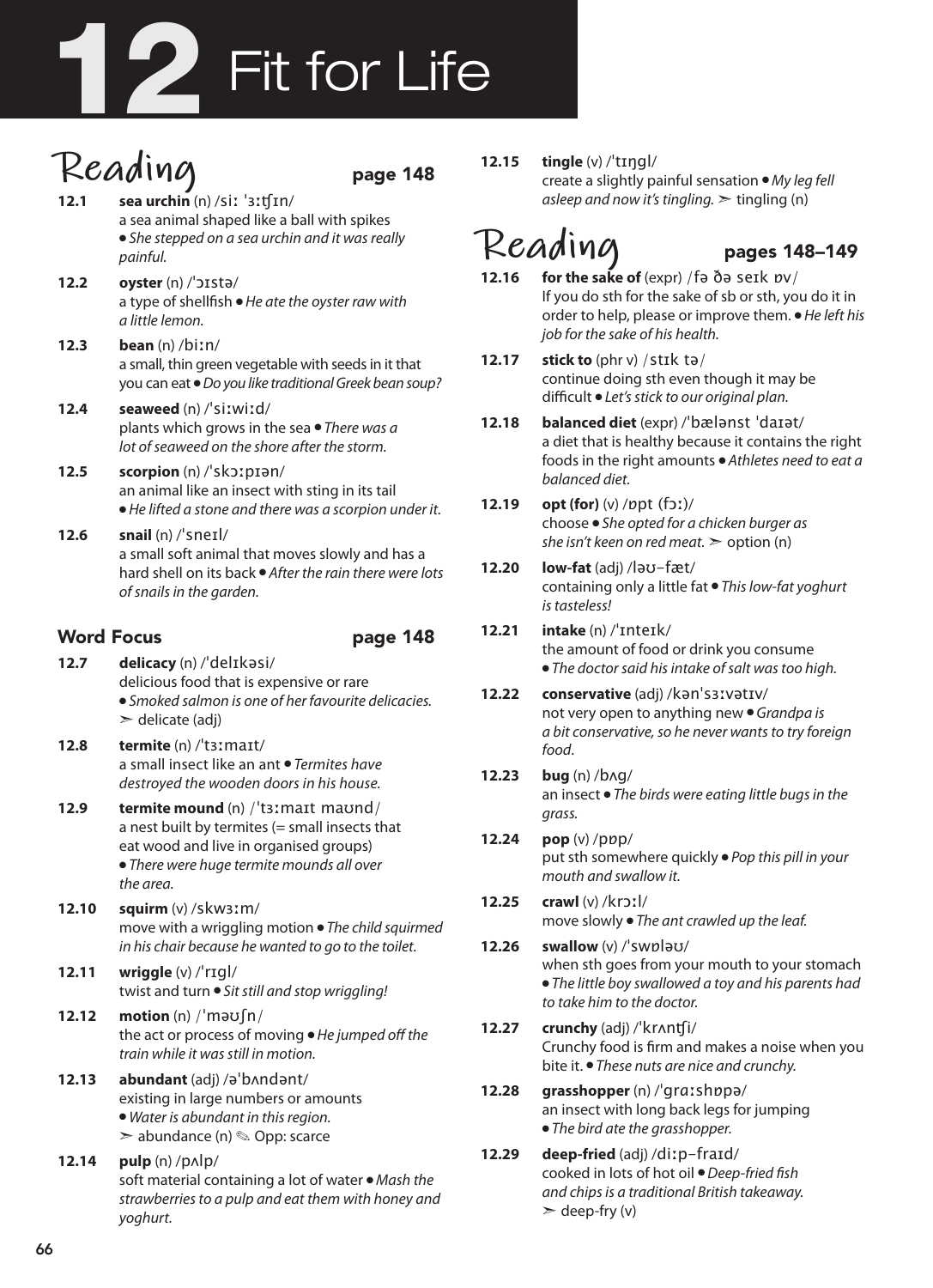# 12 Fit for Life

- $\text{Realing}$  page 148 **12.1 sea urchin** (n) /siː ˈɜːʧɪn/ a sea animal shaped like a ball with spikes ● *She stepped on a sea urchin and it was really painful.*
- **12.2 oyster** (n) /ˈɔɪstə/ a type of shellfish ● *He ate the oyster raw with a little lemon.*
- **12.3 bean** (n) /biːn/ a small, thin green vegetable with seeds in it that you can eat ● *Do you like traditional Greek bean soup?*
- **12.4 seaweed** (n) /ˈsiːwiːd/ plants which grows in the sea ● *There was a lot of seaweed on the shore after the storm.*
- **12.5 scorpion** (n) /ˈskɔːpɪən/ an animal like an insect with sting in its tail ● *He lifted a stone and there was a scorpion under it.*
- **12.6 snail** (n) /ˈsneɪl/ a small soft animal that moves slowly and has a hard shell on its back ● *After the rain there were lots of snails in the garden.*

### Word Focus **page 148**

- **12.7 delicacy** (n) /ˈdelɪkəsi/ delicious food that is expensive or rare ● *Smoked salmon is one of her favourite delicacies.*  $\ge$  delicate (adj)
- **12.8 termite** (n) /ˈtɜːmaɪt/ a small insect like an ant ● *Termites have destroyed the wooden doors in his house.*
- **12.9 termite mound** (n) /ˈtɜːmaɪt maʊnd/ a nest built by termites (= small insects that eat wood and live in organised groups) ● *There were huge termite mounds all over the area.*
- **12.10 squirm** (v) /skwɜːm/ move with a wriggling motion ● *The child squirmed in his chair because he wanted to go to the toilet.*
- **12.11 wriggle** (v) /ˈrɪgl/ twist and turn ● *Sit still and stop wriggling!*
- **12.12 motion** (n) /ˈməʊʃn/ the act or process of moving ● *He jumped off the train while it was still in motion.*
- **12.13 abundant** (adj) /əˈbʌndənt/ existing in large numbers or amounts ● *Water is abundant in this region.* ➣ abundance (n) ✎ Opp: scarce
- **12.14 pulp** (n) /pʌlp/ soft material containing a lot of water ● *Mash the strawberries to a pulp and eat them with honey and yoghurt.*

**12.15 tingle** (v) /ˈtɪŋgl/ create a slightly painful sensation ● *My leg fell asleep and now it's tingling.*  $\geq$  tingling (n)

- **Reading** pages 148-149 **12.16 for the sake of** (expr) /fə ðə seɪk ɒv/ If you do sth for the sake of sb or sth, you do it in order to help, please or improve them. ● *He left his job for the sake of his health.*
- **12.17 stick to** (phr v) /stɪk tə/ continue doing sth even though it may be difficult ● *Let's stick to our original plan.*
- **12.18 balanced diet** (expr) /ˈbælənst ˈdaɪət/ a diet that is healthy because it contains the right foods in the right amounts ● *Athletes need to eat a balanced diet.*
- **12.19 opt (for)** (v) /ɒpt (fɔː)/ choose ● *She opted for a chicken burger as she isn't keen on red meat.* ➣ option (n)
- **12.20 low-fat** (adj) /ləʊ-fæt/ containing only a little fat ● *This low-fat yoghurt is tasteless!*
- **12.21 intake** (n) /ˈɪnteɪk/ the amount of food or drink you consume ● *The doctor said his intake of salt was too high.*
- **12.22 conservative** (adj) /kənˈsɜːvətɪv/ not very open to anything new ● *Grandpa is a bit conservative, so he never wants to try foreign food*.
- **12.23 bug** (n) /bʌg/ an insect ● *The birds were eating little bugs in the grass.*
- **12.24 pop** (v) /pɒp/ put sth somewhere quickly ● *Pop this pill in your mouth and swallow it.*
- **12.25 crawl** (v) /krɔːl/ move slowly ● *The ant crawled up the leaf.*
- **12.26 swallow** (v) /ˈswɒləʊ/ when sth goes from your mouth to your stomach ● *The little boy swallowed a toy and his parents had to take him to the doctor.*
- **12.27 crunchy** (adj) /ˈkrʌnʧi/ Crunchy food is firm and makes a noise when you bite it. ● *These nuts are nice and crunchy.*
- **12.28 grasshopper** (n) /ˈgrɑːshɒpə/ an insect with long back legs for jumping ● *The bird ate the grasshopper.*
- **12.29 deep-fried** (adj) /diːp-fraɪd/ cooked in lots of hot oil ● *Deep-fried fish and chips is a traditional British takeaway.*  $\geq$  deep-fry (v)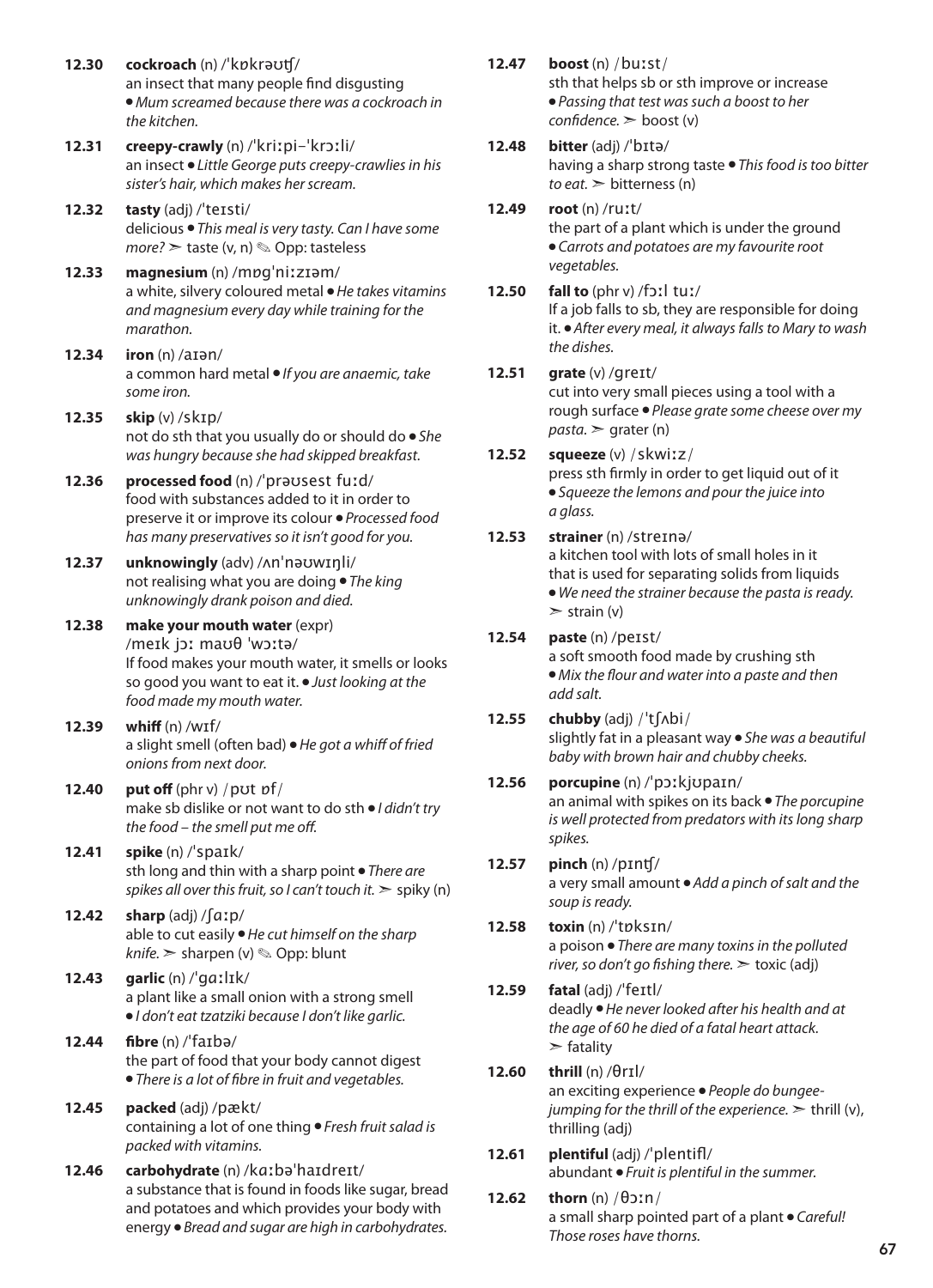- **12.30 cockroach** (n) /ˈkɒkrəʊʧ/ an insect that many people find disgusting ● *Mum screamed because there was a cockroach in the kitchen.*
- **12.31 creepy-crawly** (n) /ˈkriːpi-ˈkrɔːli/ an insect ● *Little George puts creepy-crawlies in his sister's hair, which makes her scream.*
- **12.32 tasty** (adj) /ˈteɪsti/ delicious ● *This meal is very tasty. Can I have some more?* ➣ taste (v, n) ✎ Opp: tasteless
- **12.33 magnesium** (n) /mɒgˈniːzɪəm/ a white, silvery coloured metal ● *He takes vitamins and magnesium every day while training for the marathon.*
- **12.34 iron** (n) /aɪən/ a common hard metal ● *If you are anaemic, take some iron.*
- **12.35 skip** (v) /skɪp/ not do sth that you usually do or should do ● *She was hungry because she had skipped breakfast.*
- **12.36 processed food** (n) /ˈprəʊsest fuːd/ food with substances added to it in order to preserve it or improve its colour ● *Processed food has many preservatives so it isn't good for you.*
- **12.37 unknowingly** (adv) /ʌnˈnəʊwɪŋli/ not realising what you are doing ● *The king unknowingly drank poison and died.*
- **12.38 make your mouth water** (expr) /meɪk jɔː maʊθ ˈwɔːtə/ If food makes your mouth water, it smells or looks so good you want to eat it. ● *Just looking at the food made my mouth water.*
- **12.39 whiff** (n) /wɪf/ a slight smell (often bad) ● *He got a whiff of fried onions from next door.*
- **12.40 put off** (phr v) /pʊt ɒf/ make sb dislike or not want to do sth ● *I didn't try the food – the smell put me off.*
- **12.41 spike** (n) /ˈspaɪk/ sth long and thin with a sharp point ● *There are spikes all over this fruit, so I can't touch it.* ➣ spiky (n)
- **12.42 sharp** (adj) /ʃɑːp/ able to cut easily ● *He cut himself on the sharp knife.* ➣ sharpen (v) ✎ Opp: blunt
- **12.43 garlic** (n) /ˈgɑːlɪk/ a plant like a small onion with a strong smell ● *I don't eat tzatziki because I don't like garlic.*
- **12.44 fibre** (n) /ˈfaɪbə/ the part of food that your body cannot digest ● *There is a lot of fibre in fruit and vegetables.*
- **12.45 packed** (adj) /pækt/ containing a lot of one thing ● *Fresh fruit salad is packed with vitamins.*
- **12.46 carbohydrate** (n) /kɑːbəˈhaɪdreɪt/ a substance that is found in foods like sugar, bread and potatoes and which provides your body with energy ● *Bread and sugar are high in carbohydrates.*
- **12.47 boost** (n) /buːst/ sth that helps sb or sth improve or increase ● *Passing that test was such a boost to her confidence.* ➣ boost (v)
- **12.48 bitter** (adj) /ˈbɪtə/

having a sharp strong taste ● *This food is too bitter to eat.* ➣ bitterness (n)

- **12.49 root** (n) /ruːt/ the part of a plant which is under the ground ● *Carrots and potatoes are my favourite root vegetables.*
- **12.50 fall to** (phr v) /fɔːl tuː/ If a job falls to sb, they are responsible for doing it. ● *After every meal, it always falls to Mary to wash the dishes.*
- **12.51 grate** (v) /greɪt/

cut into very small pieces using a tool with a rough surface ● *Please grate some cheese over my*   $pasta.$   $\ge$  grater (n)

- **12.52 squeeze** (v) /skwiːz/ press sth firmly in order to get liquid out of it ● *Squeeze the lemons and pour the juice into a glass.*
- **12.53 strainer** (n) /streɪnə/
	- a kitchen tool with lots of small holes in it that is used for separating solids from liquids ● *We need the strainer because the pasta is ready.*  $\ge$  strain (v)
- **12.54 paste** (n) /peɪst/ a soft smooth food made by crushing sth ● *Mix the flour and water into a paste and then add salt.*
- **12.55 chubby** (adj) /ˈtʃʌbi/ slightly fat in a pleasant way ● *She was a beautiful baby with brown hair and chubby cheeks.*

### **12.56 porcupine** (n) /ˈpɔːkjʊpaɪn/

an animal with spikes on its back ● *The porcupine is well protected from predators with its long sharp spikes.* 

- **12.57 pinch** (n) /pɪnʧ/ a very small amount ● *Add a pinch of salt and the soup is ready.*
- **12.58 toxin** (n) /ˈtɒksɪn/ a poison ● *There are many toxins in the polluted river, so don't go fishing there.* ➣ toxic (adj)
- **12.59 fatal** (adj) /ˈfeɪtl/ deadly ● *He never looked after his health and at the age of 60 he died of a fatal heart attack.*  $\blacktriangleright$  fatality
- **12.60 thrill** (n) /θrɪl/ an exciting experience ● *People do bungeejumping for the thrill of the experience.* ➣ thrill (v), thrilling (adj)
- **12.61 plentiful** (adj) /ˈplentifl/ abundant ● *Fruit is plentiful in the summer.*
- **12.62 thorn** (n) /θɔːn/ a small sharp pointed part of a plant ● *Careful! Those roses have thorns.*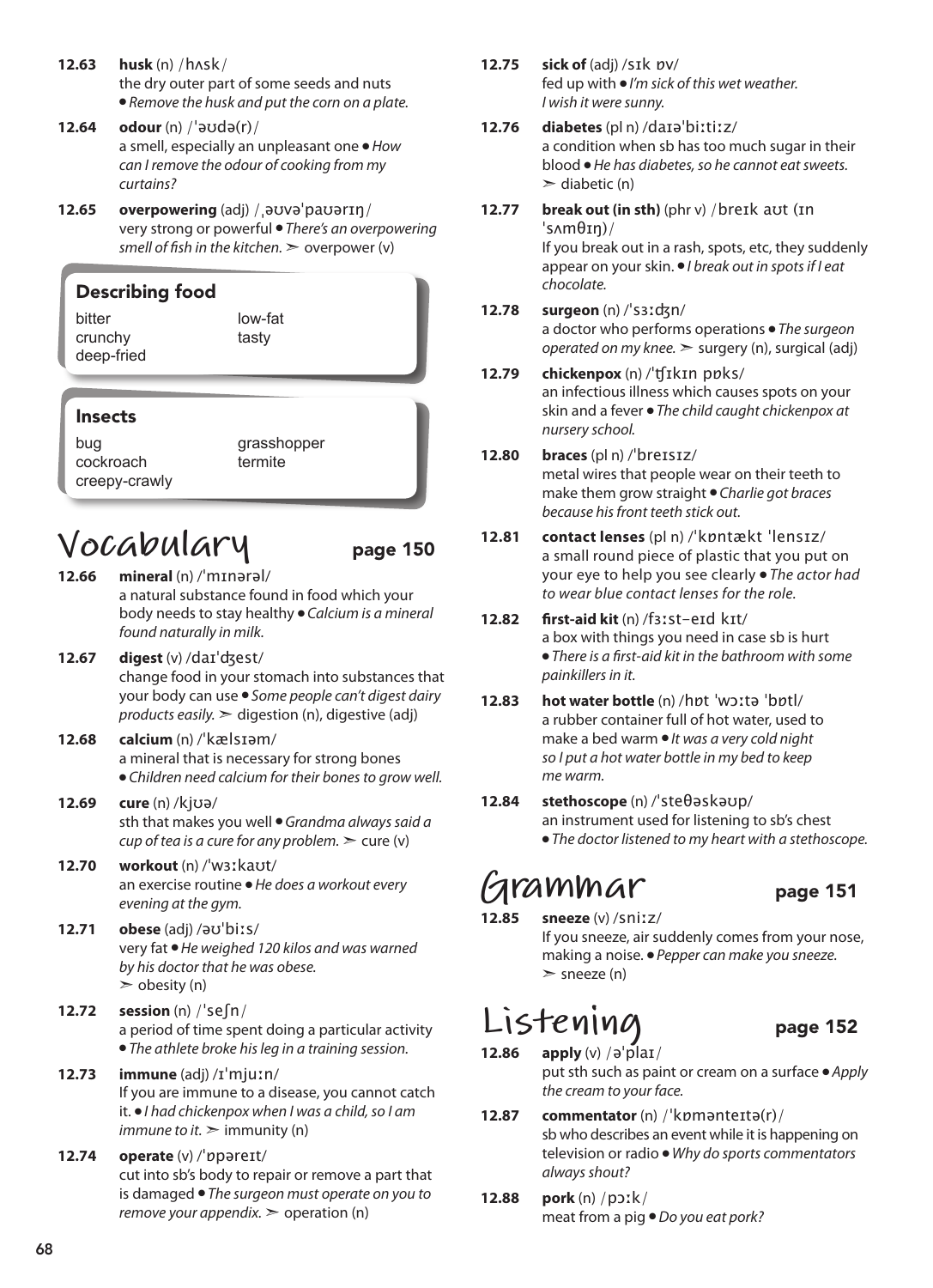- **12.63 husk** (n) /hʌsk/ the dry outer part of some seeds and nuts ● *Remove the husk and put the corn on a plate.*
- **12.64 odour** (n) /ˈəʊdə(r)/ a smell, especially an unpleasant one ● *How can I remove the odour of cooking from my curtains?*
- **12.65 overpowering** (adj) /ˌəʊvəˈpaʊərɪŋ/ very strong or powerful ● *There's an overpowering smell of fish in the kitchen.* ➣ overpower (v)

### Describing food

bitter crunchy deep-fried low-fat tasty

### Insects

bug cockroach creepy-crawly grasshopper termite

# $Vocabular$ <br>12.66 mineral (n) /'minaral/

- **12.66 mineral** (n) /ˈmɪnərəl/ a natural substance found in food which your body needs to stay healthy ● *Calcium is a mineral found naturally in milk.*
- **12.67 digest** (v) /daɪˈʤest/ change food in your stomach into substances that your body can use ● *Some people can't digest dairy products easily.* ➣ digestion (n), digestive (adj)
- **12.68 calcium** (n) /ˈkælsɪəm/ a mineral that is necessary for strong bones ● *Children need calcium for their bones to grow well.*
- **12.69 cure** (n) /kjʊə/ sth that makes you well ● *Grandma always said a cup of tea is a cure for any problem.*  $\geq$  cure (v)
- **12.70 workout** (n) /ˈwɜːkaʊt/ an exercise routine ● *He does a workout every evening at the gym.*
- **12.71 obese** (adj) /əʊˈbiːs/ very fat ● *He weighed 120 kilos and was warned by his doctor that he was obese.*  $\geq$  obesity (n)
- **12.72 session** (n) /ˈseʃn/ a period of time spent doing a particular activity ● *The athlete broke his leg in a training session.*
- **12.73 immune** (adj) /ɪˈmjuːn/ If you are immune to a disease, you cannot catch it. ● *I had chickenpox when I was a child, so I am immune to it.*  $\geq$  *immunity (n)*
- **12.74 operate** (v) /ˈɒpəreɪt/ cut into sb's body to repair or remove a part that is damaged ● *The surgeon must operate on you to remove your appendix.* > operation (n)
- **12.75 sick of** (adj) /sɪk ɒv/ fed up with ● *I'm sick of this wet weather. I wish it were sunny.*
- **12.76 diabetes** (pl n) /daɪəˈbiːtiːz/ a condition when sb has too much sugar in their blood ● *He has diabetes, so he cannot eat sweets.*  $\geq$  diabetic (n)
- **12.77 break out (in sth)** (phr v) /breɪk aʊt (ɪn ˈsʌmθɪŋ)/

If you break out in a rash, spots, etc, they suddenly appear on your skin. ● *I break out in spots if I eat chocolate.*

**12.78 surgeon** (n) /ˈsɜːʤn/

a doctor who performs operations ● *The surgeon operated on my knee.* ➣ surgery (n), surgical (adj)

### **12.79 chickenpox** (n) /ˈʧɪkɪn pɒks/ an infectious illness which causes spots on your

skin and a fever ● *The child caught chickenpox at nursery school.*

- **12.80 braces** (pl n) /ˈbreɪsɪz/ metal wires that people wear on their teeth to make them grow straight ● *Charlie got braces because his front teeth stick out.*
- **12.81 contact lenses** (pl n) /ˈkɒntækt ˈlensɪz/ a small round piece of plastic that you put on your eye to help you see clearly ● *The actor had to wear blue contact lenses for the role.*
- **12.82 first-aid kit** (n) /fɜːst-eɪd kɪt/ a box with things you need in case sb is hurt ● *There is a first-aid kit in the bathroom with some painkillers in it.*
- **12.83 hot water bottle** (n) /hɒt ˈwɔːtə ˈbɒtl/ a rubber container full of hot water, used to make a bed warm ● *It was a very cold night so I put a hot water bottle in my bed to keep me warm.*
- **12.84 stethoscope** (n) /ˈsteθəskəʊp/ an instrument used for listening to sb's chest ● *The doctor listened to my heart with a stethoscope.*

# **Grammar** page 151

**12.85 sneeze** (v) /sniːz/ If you sneeze, air suddenly comes from your nose, making a noise. ● *Pepper can make you sneeze.*  $\ge$  sneeze (n)

# **Listening** page 152

- 
- **12.86 apply** (v) /əˈplaɪ/ put sth such as paint or cream on a surface ● *Apply the cream to your face.*
- **12.87 commentator** (n) /ˈkɒmənteɪtə(r)/ sb who describes an event while it is happening on television or radio ● *Why do sports commentators always shout?*
- **12.88 pork** (n) /pɔːk/ meat from a pig ● *Do you eat pork?*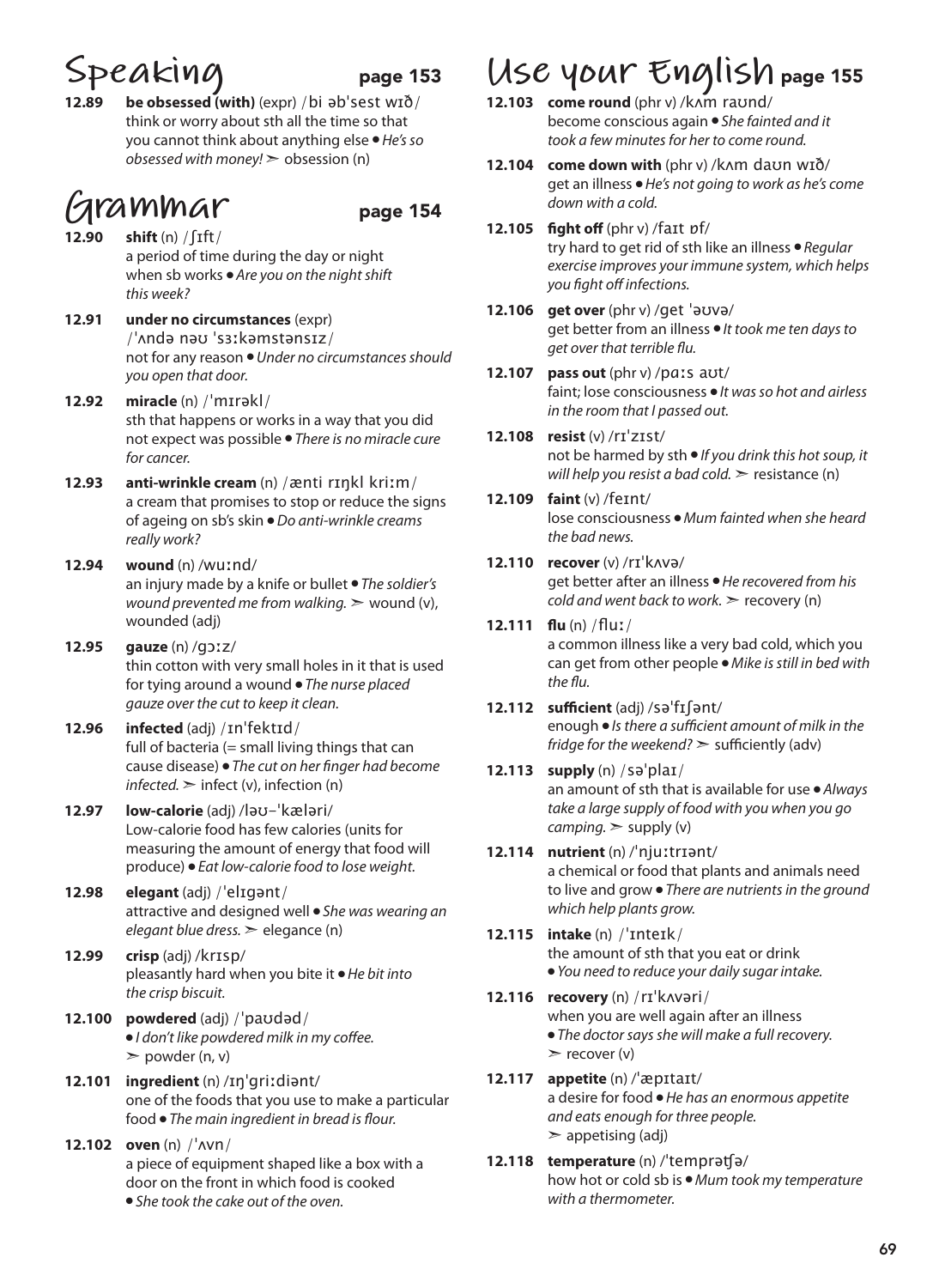# **Speaking** page 153

**12.89 be obsessed (with)** (expr) /bi əbˈsest wɪð/ think or worry about sth all the time so that you cannot think about anything else ● *He's so obsessed with money!* ➣ obsession (n)

## **Grammar** page 154

- **12.90 shift** (n) /ʃɪft/ a period of time during the day or night when sb works ● *Are you on the night shift this week?*
- **12.91 under no circumstances** (expr) /ˈʌndə nəʊ ˈsɜːkəmstənsɪz/ not for any reason ● *Under no circumstances should you open that door.*
- **12.92 miracle** (n) /ˈmɪrəkl/ sth that happens or works in a way that you did not expect was possible ● *There is no miracle cure for cancer.*
- **12.93 anti-wrinkle cream** (n) /ænti rɪŋkl kriːm/ a cream that promises to stop or reduce the signs of ageing on sb's skin ● *Do anti-wrinkle creams really work?*
- **12.94 wound** (n) /wuːnd/ an injury made by a knife or bullet ● *The soldier's wound prevented me from walking.* > wound (v), wounded (adj)
- **12.95 gauze** (n) /gɔːz/ thin cotton with very small holes in it that is used for tying around a wound ● *The nurse placed gauze over the cut to keep it clean.*
- **12.96 infected** (adj) /ɪnˈfektɪd/ full of bacteria  $(=$  small living things that can cause disease) ● *The cut on her finger had become*   $infected.$   $\geq$  infect  $(v)$ , infection  $(n)$
- **12.97 low-calorie** (adj) /ləʊ-ˈkæləri/ Low-calorie food has few calories (units for measuring the amount of energy that food will produce) ● *Eat low-calorie food to lose weight.*
- **12.98 elegant** (adj) /ˈelɪɡənt/ attractive and designed well ● *She was wearing an elegant blue dress.* ➣ elegance (n)
- **12.99 crisp** (adj) /krɪsp/ pleasantly hard when you bite it ● *He bit into the crisp biscuit.*
- **12.100 powdered** (adj) /ˈpaʊdəd/ ● *I don't like powdered milk in my coffee.*  $\geq$  powder (n, v)
- **12.101 ingredient** (n) /ɪŋˈgriːdiənt/ one of the foods that you use to make a particular food ● *The main ingredient in bread is flour.*
- **12.102 oven** (n) /ˈʌvn/ a piece of equipment shaped like a box with a door on the front in which food is cooked ● *She took the cake out of the oven.*

# **Use your English** page 155

- **12.103 come round** (phr v) /kʌm raʊnd/ become conscious again ● *She fainted and it took a few minutes for her to come round.*
- **12.104 come down with** (phr v) /kʌm daʊn wɪð/ get an illness ● *He's not going to work as he's come down with a cold.*
- **12.105 fight off** (phr v) /faɪt ɒf/ try hard to get rid of sth like an illness ● *Regular exercise improves your immune system, which helps you fight off infections.*
- **12.106 get over** (phr v) /get ˈəʊvə/ get better from an illness ● *It took me ten days to get over that terrible flu.*
- **12.107 pass out** (phr v) /pɑːs aʊt/ faint; lose consciousness ● *It was so hot and airless in the room that I passed out.*
- **12.108 resist** (v) /rɪˈzɪst/ not be harmed by sth ● *If you drink this hot soup, it will help you resist a bad cold.*  $\ge$  resistance (n)
- **12.109 faint** (v) /feɪnt/ lose consciousness ● *Mum fainted when she heard the bad news.*
- **12.110 recover** (v) /rɪˈkʌvə/ get better after an illness ● *He recovered from his cold and went back to work.*  $\ge$  recovery (n)
- **12.111 flu** (n) /fluː/ a common illness like a very bad cold, which you can get from other people ● *Mike is still in bed with the flu.*
- **12.112 sufficient** (adj) /səˈfɪʃənt/ enough ● *Is there a sufficient amount of milk in the fridge for the weekend?* ➣ sufficiently (adv)
- **12.113 supply** (n) /səˈplaɪ/ an amount of sth that is available for use ● *Always take a large supply of food with you when you go camping.* ➣ supply (v)
- **12.114 nutrient** (n) /ˈnjuːtrɪənt/ a chemical or food that plants and animals need to live and grow ● *There are nutrients in the ground which help plants grow.*
- **12.115 intake** (n) /ˈɪnteɪk/ the amount of sth that you eat or drink ● *You need to reduce your daily sugar intake.*
- **12.116 recovery** (n) /rɪˈkʌvəri/ when you are well again after an illness ● *The doctor says she will make a full recovery.*   $\triangleright$  recover (v)

**12.117 appetite** (n) /ˈæpɪtaɪt/ a desire for food ● *He has an enormous appetite and eats enough for three people.*   $\geq$  appetising (adj)

**12.118 temperature** (n) /ˈtemprəʧə/ how hot or cold sb is ● *Mum took my temperature with a thermometer.*